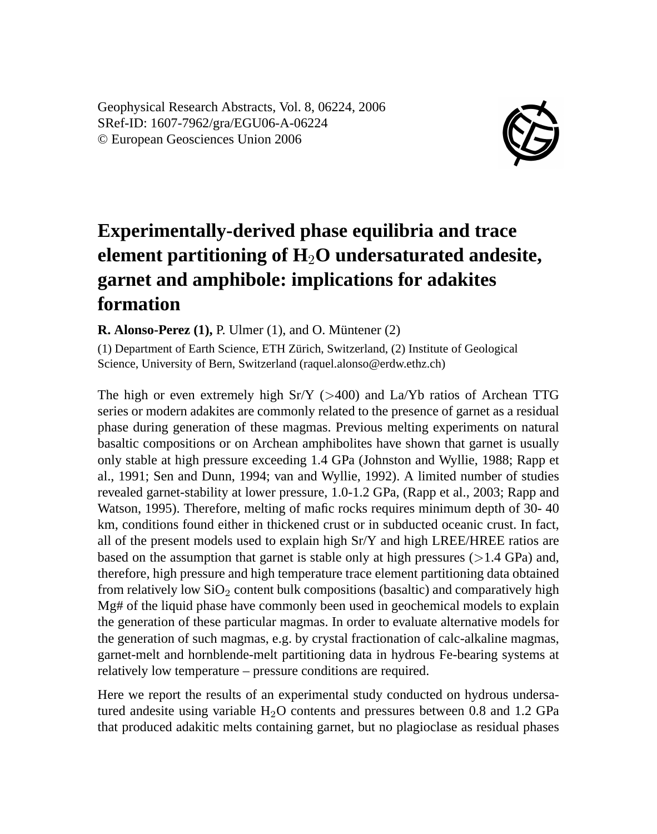Geophysical Research Abstracts, Vol. 8, 06224, 2006 SRef-ID: 1607-7962/gra/EGU06-A-06224 © European Geosciences Union 2006



## **Experimentally-derived phase equilibria and trace element partitioning of H**2**O undersaturated andesite, garnet and amphibole: implications for adakites formation**

**R. Alonso-Perez (1),** P. Ulmer (1), and O. Müntener (2)

(1) Department of Earth Science, ETH Zürich, Switzerland, (2) Institute of Geological Science, University of Bern, Switzerland (raquel.alonso@erdw.ethz.ch)

The high or even extremely high  $Sr/Y$  ( $>400$ ) and La/Yb ratios of Archean TTG series or modern adakites are commonly related to the presence of garnet as a residual phase during generation of these magmas. Previous melting experiments on natural basaltic compositions or on Archean amphibolites have shown that garnet is usually only stable at high pressure exceeding 1.4 GPa (Johnston and Wyllie, 1988; Rapp et al., 1991; Sen and Dunn, 1994; van and Wyllie, 1992). A limited number of studies revealed garnet-stability at lower pressure, 1.0-1.2 GPa, (Rapp et al., 2003; Rapp and Watson, 1995). Therefore, melting of mafic rocks requires minimum depth of 30- 40 km, conditions found either in thickened crust or in subducted oceanic crust. In fact, all of the present models used to explain high  $Sr/Y$  and high LREE/HREE ratios are based on the assumption that garnet is stable only at high pressures  $(>1.4 \text{ GPa})$  and, therefore, high pressure and high temperature trace element partitioning data obtained from relatively low  $SiO<sub>2</sub>$  content bulk compositions (basaltic) and comparatively high Mg# of the liquid phase have commonly been used in geochemical models to explain the generation of these particular magmas. In order to evaluate alternative models for the generation of such magmas, e.g. by crystal fractionation of calc-alkaline magmas, garnet-melt and hornblende-melt partitioning data in hydrous Fe-bearing systems at relatively low temperature – pressure conditions are required.

Here we report the results of an experimental study conducted on hydrous undersatured andesite using variable  $H_2O$  contents and pressures between 0.8 and 1.2 GPa that produced adakitic melts containing garnet, but no plagioclase as residual phases